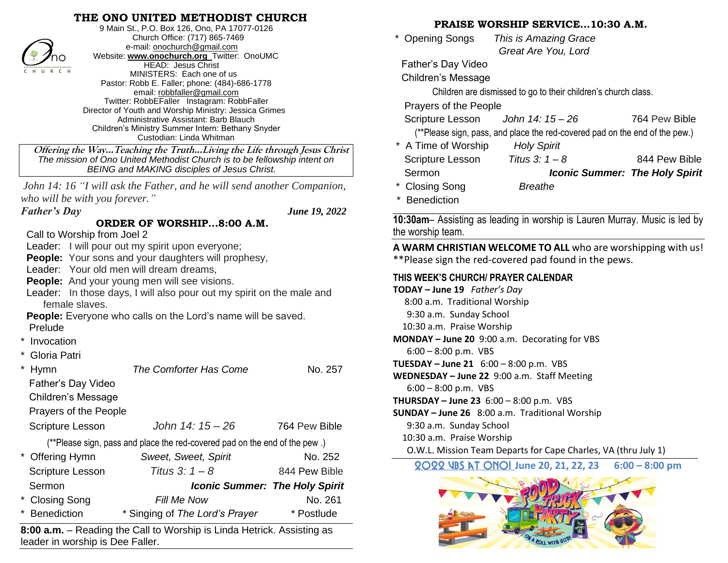## **THE ONO UNITED METHODIST CHURCH**



9 Main St., P.O. Box 126, Ono, PA 17077-0126 Church Office: (717) 865-7469 e-mail[: onochurch@gmail.com](mailto:onochurch@gmail.com) Website: **[www.onochurch.org](http://www.onochurch.org/)** Twitter: OnoUMC HEAD: Jesus Christ MINISTERS: Each one of us Pastor: Robb E. Faller; phone: (484)-686-1778 email: [robbfaller@gmail.com](mailto:robbfaller@gmail.com) Twitter: RobbEFaller Instagram: RobbFaller Director of Youth and Worship Ministry: Jessica Grimes Administrative Assistant: Barb Blauch Children's Ministry Summer Intern: Bethany Snyder Custodian: Linda Whitman

 **Offering the Way…Teaching the Truth…Living the Life through Jesus Christ** *The mission of Ono United Methodist Church is to be fellowship intent on BEING and MAKING disciples of Jesus Christ.* 

*John 14: 16 "I will ask the Father, and he will send another Companion, who will be with you forever."*

**ORDER OF WORSHIP…8:00 A.M.**

*Father's Day June 19, 2022* 

Call to Worship from Joel 2

Leader: I will pour out my spirit upon everyone;

**People:** Your sons and your daughters will prophesy,

Leader: Your old men will dream dreams,

**People:** And your young men will see visions.

 Leader: In those days, I will also pour out my spirit on the male and female slaves.

 **People:** Everyone who calls on the Lord's name will be saved. Prelude

- **Invocation**
- Gloria Patri

|                                                                            | <b>Hymn</b>             | The Comforter Has Come                | No. 257       |  |  |
|----------------------------------------------------------------------------|-------------------------|---------------------------------------|---------------|--|--|
|                                                                            | Father's Day Video      |                                       |               |  |  |
|                                                                            | Children's Message      |                                       |               |  |  |
|                                                                            | Prayers of the People   |                                       |               |  |  |
|                                                                            | <b>Scripture Lesson</b> | John 14: 15 - 26                      | 764 Pew Bible |  |  |
| (**Please sign, pass and place the red-covered pad on the end of the pew.) |                         |                                       |               |  |  |
|                                                                            | * Offering Hymn         | Sweet, Sweet, Spirit                  | No. 252       |  |  |
|                                                                            | <b>Scripture Lesson</b> | Titus $3: 1 - 8$                      | 844 Pew Bible |  |  |
|                                                                            | Sermon                  | <b>Iconic Summer: The Holy Spirit</b> |               |  |  |
|                                                                            | * Closing Song          | <b>Fill Me Now</b>                    | No. 261       |  |  |
|                                                                            | * Benediction           | * Singing of The Lord's Prayer        | * Postlude    |  |  |
|                                                                            |                         |                                       |               |  |  |

**8:00 a.m.** – Reading the Call to Worship is Linda Hetrick. Assisting as leader in worship is Dee Faller.

#### **PRAISE WORSHIP SERVICE…10:30 A.M.**

\* Opening Songs **This is Amazing Grace**  *Great Are You, Lord*  Father's Day Video

Children's Message

Children are dismissed to go to their children's church class.

Prayers of the People

| Scripture Lesson                                                            | John 14: 15 – 26   | 764 Pew Bible                         |  |  |  |
|-----------------------------------------------------------------------------|--------------------|---------------------------------------|--|--|--|
| (**Please sign, pass, and place the red-covered pad on the end of the pew.) |                    |                                       |  |  |  |
| * A Time of Worship                                                         | <b>Holy Spirit</b> |                                       |  |  |  |
| <b>Scripture Lesson</b>                                                     | Titus $3: 1 - 8$   | 844 Pew Bible                         |  |  |  |
| Sermon                                                                      |                    | <b>Iconic Summer: The Holy Spirit</b> |  |  |  |
| * Closing Song                                                              | Breathe            |                                       |  |  |  |

**Benediction** 

**\_\_\_\_\_\_\_\_\_\_\_\_\_\_\_\_\_\_\_\_\_\_\_\_\_\_\_\_\_\_\_\_\_\_\_\_\_\_\_\_\_\_\_\_\_\_\_\_\_\_\_\_\_\_\_\_\_\_\_\_\_ 10:30am**– Assisting as leading in worship is Lauren Murray. Music is led by the worship team.

**A WARM CHRISTIAN WELCOME TO ALL** who are worshipping with us! \*\*Please sign the red-covered pad found in the pews.

### **THIS WEEK'S CHURCH/ PRAYER CALENDAR**

**TODAY – June 19** *Father's Day* 8:00 a.m. Traditional Worship 9:30 a.m. Sunday School 10:30 a.m. Praise Worship **MONDAY – June 20** 9:00 a.m. Decorating for VBS 6:00 – 8:00 p.m. VBS **TUESDAY – June 21** 6:00 – 8:00 p.m. VBS **WEDNESDAY – June 22** 9:00 a.m. Staff Meeting 6:00 – 8:00 p.m. VBS

**THURSDAY – June 23** 6:00 – 8:00 p.m. VBS

**SUNDAY – June 26** 8:00 a.m. Traditional Worship

9:30 a.m. Sunday School

10:30 a.m. Praise Worship

O.W.L. Mission Team Departs for Cape Charles, VA (thru July 1)

2022 VBS at ONO! **June 20, 21, 22, 23 6:00 – 8:00 pm**